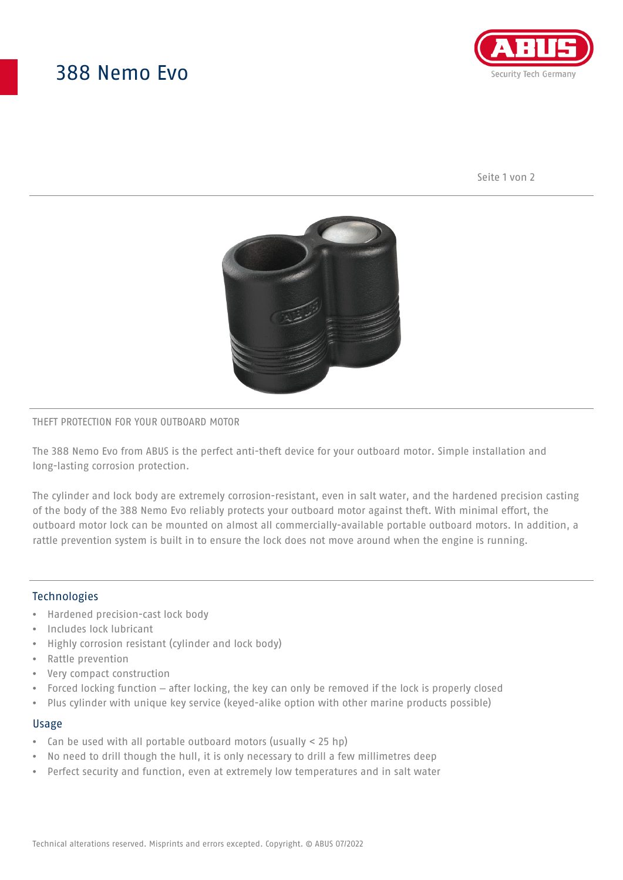# 388 Nemo Evo



Seite 1 von 2



### THEFT PROTECTION FOR YOUR OUTBOARD MOTOR

The 388 Nemo Evo from ABUS is the perfect anti-theft device for your outboard motor. Simple installation and long-lasting corrosion protection.

The cylinder and lock body are extremely corrosion-resistant, even in salt water, and the hardened precision casting of the body of the 388 Nemo Evo reliably protects your outboard motor against theft. With minimal effort, the outboard motor lock can be mounted on almost all commercially-available portable outboard motors. In addition, a rattle prevention system is built in to ensure the lock does not move around when the engine is running.

### Technologies

- Hardened precision-cast lock body
- Includes lock lubricant
- Highly corrosion resistant (cylinder and lock body)
- Rattle prevention
- Very compact construction
- Forced locking function after locking, the key can only be removed if the lock is properly closed
- Plus cylinder with unique key service (keyed-alike option with other marine products possible)

#### Usage

- Can be used with all portable outboard motors (usually < 25 hp)
- No need to drill though the hull, it is only necessary to drill a few millimetres deep
- Perfect security and function, even at extremely low temperatures and in salt water